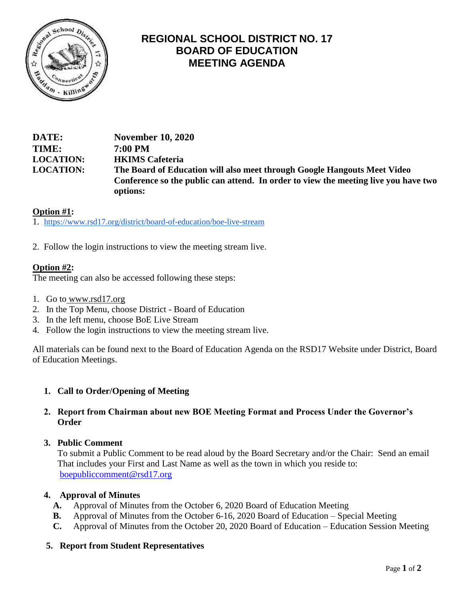

# **REGIONAL SCHOOL DISTRICT NO. 17 BOARD OF EDUCATION MEETING AGENDA**

**DATE: November 10, 2020 TIME: 7:00 PM LOCATION: HKIMS Cafeteria LOCATION: The Board of Education will also meet through Google Hangouts Meet Video Conference so the public can attend. In order to view the meeting live you have two options:** 

# **Option #1:**

1. <https://www.rsd17.org/district/board-of-education/boe-live-stream>

2. Follow the login instructions to view the meeting stream live.

# **Option #2:**

The meeting can also be accessed following these steps:

- 1. Go to [www.rsd17.org](http://www.rsd17.org/)
- 2. In the Top Menu, choose District Board of Education
- 3. In the left menu, choose BoE Live Stream
- 4. Follow the login instructions to view the meeting stream live.

All materials can be found next to the Board of Education Agenda on the RSD17 Website under District, Board of Education Meetings.

# **1. Call to Order/Opening of Meeting**

## **2. Report from Chairman about new BOE Meeting Format and Process Under the Governor's Order**

#### **3. Public Comment**

 To submit a Public Comment to be read aloud by the Board Secretary and/or the Chair: Send an email That includes your First and Last Name as well as the town in which you reside to: [boepubliccomment@rsd17.org](mailto:boepubliccomment@rsd17.org)

#### **4. Approval of Minutes**

- **A.** Approval of Minutes from the October 6, 2020 Board of Education Meeting
- **B.** Approval of Minutes from the October 6-16, 2020 Board of Education Special Meeting
- **C.** Approval of Minutes from the October 20, 2020 Board of Education Education Session Meeting

# **5. Report from Student Representatives**